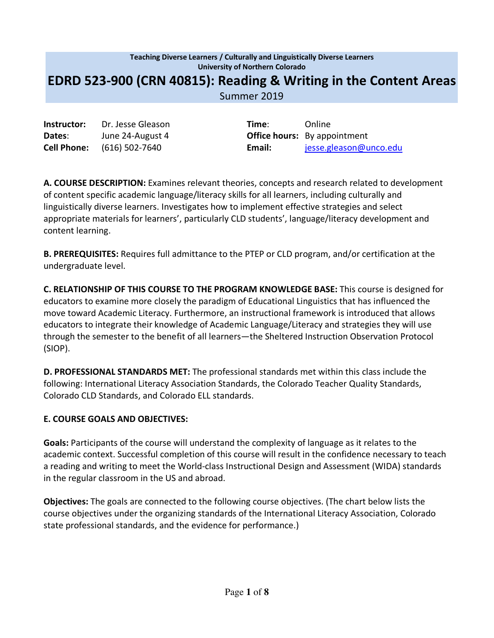# **Teaching Diverse Learners / Culturally and Linguistically Diverse Learners University of Northern Colorado EDRD 523-900 (CRN 40815): Reading & Writing in the Content Areas** Summer 2019

**Instructor:** Dr. Jesse Gleason **Time:** Online **Dates**: June 24-August 4 **Office hours:** By appointment

**Cell Phone:** (616) 502-7640 **Email:** jesse.gleason@unco.edu

**A. COURSE DESCRIPTION:** Examines relevant theories, concepts and research related to development of content specific academic language/literacy skills for all learners, including culturally and linguistically diverse learners. Investigates how to implement effective strategies and select appropriate materials for learners', particularly CLD students', language/literacy development and content learning.

**B. PREREQUISITES:** Requires full admittance to the PTEP or CLD program, and/or certification at the undergraduate level.

**C. RELATIONSHIP OF THIS COURSE TO THE PROGRAM KNOWLEDGE BASE:** This course is designed for educators to examine more closely the paradigm of Educational Linguistics that has influenced the move toward Academic Literacy. Furthermore, an instructional framework is introduced that allows educators to integrate their knowledge of Academic Language/Literacy and strategies they will use through the semester to the benefit of all learners—the Sheltered Instruction Observation Protocol (SIOP).

**D. PROFESSIONAL STANDARDS MET:** The professional standards met within this class include the following: International Literacy Association Standards, the Colorado Teacher Quality Standards, Colorado CLD Standards, and Colorado ELL standards.

### **E. COURSE GOALS AND OBJECTIVES:**

**Goals:** Participants of the course will understand the complexity of language as it relates to the academic context. Successful completion of this course will result in the confidence necessary to teach a reading and writing to meet the World-class Instructional Design and Assessment (WIDA) standards in the regular classroom in the US and abroad.

**Objectives:** The goals are connected to the following course objectives. (The chart below lists the course objectives under the organizing standards of the International Literacy Association, Colorado state professional standards, and the evidence for performance.)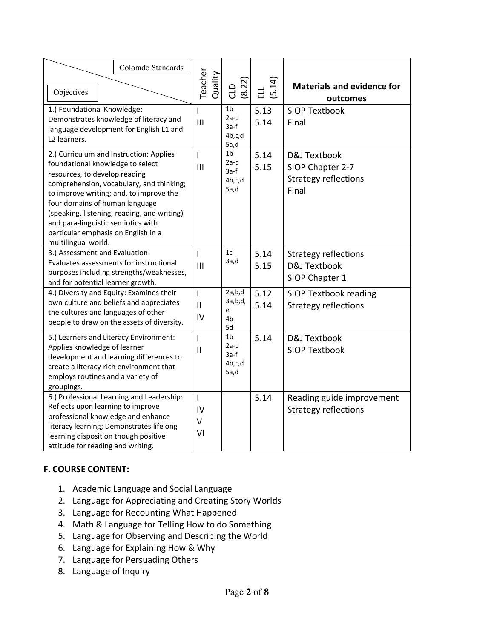| Colorado Standards<br>Objectives                                                                                                                                                                                                                                                                                                                                                         | Teacher<br>Quality                   | (8.22)<br>CLD                                      | (5.14)<br>급  | <b>Materials and evidence for</b><br>outcomes                            |  |
|------------------------------------------------------------------------------------------------------------------------------------------------------------------------------------------------------------------------------------------------------------------------------------------------------------------------------------------------------------------------------------------|--------------------------------------|----------------------------------------------------|--------------|--------------------------------------------------------------------------|--|
| 1.) Foundational Knowledge:<br>Demonstrates knowledge of literacy and<br>language development for English L1 and<br>L2 learners.                                                                                                                                                                                                                                                         | L<br>$\mathbf{III}$                  | 1 <sub>b</sub><br>$2a-d$<br>3a-f<br>4b,c,d<br>5a,d | 5.13<br>5.14 | <b>SIOP Textbook</b><br>Final                                            |  |
| 2.) Curriculum and Instruction: Applies<br>foundational knowledge to select<br>resources, to develop reading<br>comprehension, vocabulary, and thinking;<br>to improve writing; and, to improve the<br>four domains of human language<br>(speaking, listening, reading, and writing)<br>and para-linguistic semiotics with<br>particular emphasis on English in a<br>multilingual world. | T<br>III                             | 1 <sub>b</sub><br>2a-d<br>3a-f<br>4b,c,d<br>5a,d   | 5.14<br>5.15 | D&J Textbook<br>SIOP Chapter 2-7<br><b>Strategy reflections</b><br>Final |  |
| 3.) Assessment and Evaluation:<br>Evaluates assessments for instructional<br>purposes including strengths/weaknesses,<br>and for potential learner growth.                                                                                                                                                                                                                               | I<br>III                             | 1 <sub>c</sub><br>3a,d                             | 5.14<br>5.15 | <b>Strategy reflections</b><br>D&J Textbook<br>SIOP Chapter 1            |  |
| 4.) Diversity and Equity: Examines their<br>own culture and beliefs and appreciates<br>the cultures and languages of other<br>people to draw on the assets of diversity.                                                                                                                                                                                                                 | $\overline{1}$<br>$\mathbf{I}$<br>IV | 2a,b,d<br>3a,b,d,<br>e<br>4b<br>5d                 | 5.12<br>5.14 | <b>SIOP Textbook reading</b><br><b>Strategy reflections</b>              |  |
| 5.) Learners and Literacy Environment:<br>Applies knowledge of learner<br>development and learning differences to<br>create a literacy-rich environment that<br>employs routines and a variety of<br>groupings.                                                                                                                                                                          | T<br>$\mathbf{I}$                    | 1 <sub>b</sub><br>$2a-d$<br>3a-f<br>4b,c,d<br>5a,d | 5.14         | D&J Textbook<br><b>SIOP Textbook</b>                                     |  |
| 6.) Professional Learning and Leadership:<br>Reflects upon learning to improve<br>professional knowledge and enhance<br>literacy learning; Demonstrates lifelong<br>learning disposition though positive<br>attitude for reading and writing.                                                                                                                                            | $\mathsf{I}$<br>IV<br>V<br>VI        |                                                    | 5.14         | Reading guide improvement<br><b>Strategy reflections</b>                 |  |

# **F. COURSE CONTENT:**

- 1. Academic Language and Social Language
- 2. Language for Appreciating and Creating Story Worlds
- 3. Language for Recounting What Happened
- 4. Math & Language for Telling How to do Something
- 5. Language for Observing and Describing the World
- 6. Language for Explaining How & Why
- 7. Language for Persuading Others
- 8. Language of Inquiry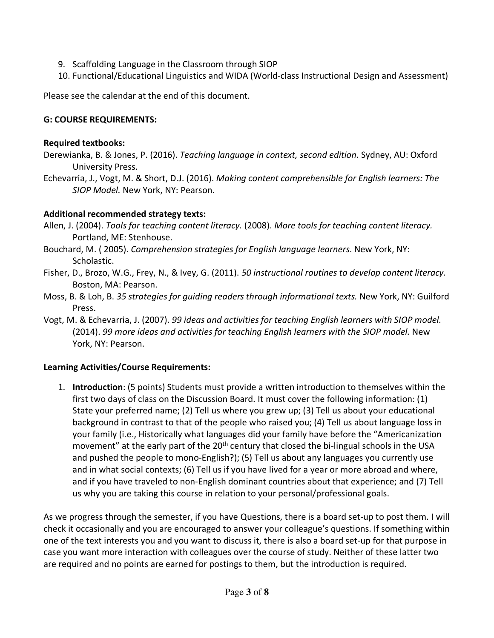- 9. Scaffolding Language in the Classroom through SIOP
- 10. Functional/Educational Linguistics and WIDA (World-class Instructional Design and Assessment)

Please see the calendar at the end of this document.

### **G: COURSE REQUIREMENTS:**

### **Required textbooks:**

- Derewianka, B. & Jones, P. (2016). *Teaching language in context, second edition.* Sydney, AU: Oxford University Press.
- Echevarria, J., Vogt, M. & Short, D.J. (2016). *Making content comprehensible for English learners: The SIOP Model.* New York, NY: Pearson.

# **Additional recommended strategy texts:**

- Allen, J. (2004). *Tools for teaching content literacy.* (2008). *More tools for teaching content literacy.* Portland, ME: Stenhouse.
- Bouchard, M. ( 2005). *Comprehension strategies for English language learners*. New York, NY: Scholastic.
- Fisher, D., Brozo, W.G., Frey, N., & Ivey, G. (2011). *50 instructional routines to develop content literacy.*  Boston, MA: Pearson.
- Moss, B. & Loh, B. *35 strategies for guiding readers through informational texts.* New York, NY: Guilford Press.
- Vogt, M. & Echevarria, J. (2007). *99 ideas and activities for teaching English learners with SIOP model.* (2014). *99 more ideas and activities for teaching English learners with the SIOP model.* New York, NY: Pearson.

# **Learning Activities/Course Requirements:**

1. **Introduction**: (5 points) Students must provide a written introduction to themselves within the first two days of class on the Discussion Board. It must cover the following information: (1) State your preferred name; (2) Tell us where you grew up; (3) Tell us about your educational background in contrast to that of the people who raised you; (4) Tell us about language loss in your family (i.e., Historically what languages did your family have before the "Americanization movement" at the early part of the 20<sup>th</sup> century that closed the bi-lingual schools in the USA and pushed the people to mono-English?); (5) Tell us about any languages you currently use and in what social contexts; (6) Tell us if you have lived for a year or more abroad and where, and if you have traveled to non-English dominant countries about that experience; and (7) Tell us why you are taking this course in relation to your personal/professional goals.

As we progress through the semester, if you have Questions, there is a board set-up to post them. I will check it occasionally and you are encouraged to answer your colleague's questions. If something within one of the text interests you and you want to discuss it, there is also a board set-up for that purpose in case you want more interaction with colleagues over the course of study. Neither of these latter two are required and no points are earned for postings to them, but the introduction is required.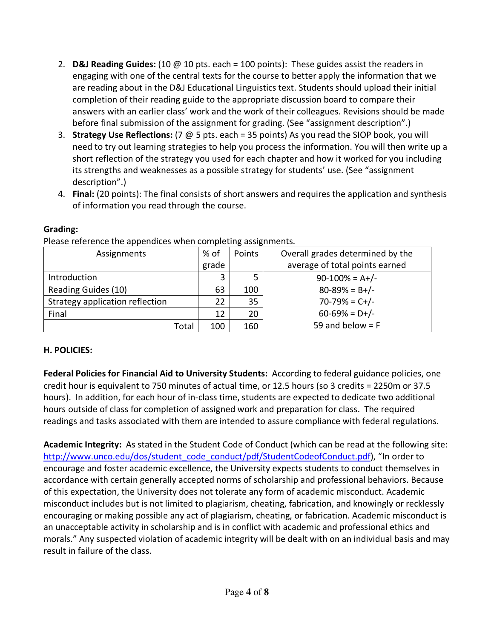- 2. **D&J Reading Guides:** (10 @ 10 pts. each = 100 points): These guides assist the readers in engaging with one of the central texts for the course to better apply the information that we are reading about in the D&J Educational Linguistics text. Students should upload their initial completion of their reading guide to the appropriate discussion board to compare their answers with an earlier class' work and the work of their colleagues. Revisions should be made before final submission of the assignment for grading. (See "assignment description".)
- 3. **Strategy Use Reflections:** (7 @ 5 pts. each = 35 points) As you read the SIOP book, you will need to try out learning strategies to help you process the information. You will then write up a short reflection of the strategy you used for each chapter and how it worked for you including its strengths and weaknesses as a possible strategy for students' use. (See "assignment description".)
- 4. **Final:** (20 points): The final consists of short answers and requires the application and synthesis of information you read through the course.

| Assignments                     | $%$ of | Points | Overall grades determined by the |  |
|---------------------------------|--------|--------|----------------------------------|--|
|                                 | grade  |        | average of total points earned   |  |
| Introduction                    | 3      |        | $90-100% = A+/-$                 |  |
| Reading Guides (10)             | 63     | 100    | $80 - 89\% = B + / -$            |  |
| Strategy application reflection | 22     | 35     | $70-79% = C+/-$                  |  |
| Final                           | 12     | 20     | $60-69\% = D+/-$                 |  |
| Total                           | 100    | 160    | 59 and below $=$ F               |  |

#### **Grading:**

Please reference the appendices when completing assignments.

# **H. POLICIES:**

**Federal Policies for Financial Aid to University Students:** According to federal guidance policies, one credit hour is equivalent to 750 minutes of actual time, or 12.5 hours (so 3 credits = 2250m or 37.5 hours). In addition, for each hour of in-class time, students are expected to dedicate two additional hours outside of class for completion of assigned work and preparation for class. The required readings and tasks associated with them are intended to assure compliance with federal regulations.

**Academic Integrity:** As stated in the Student Code of Conduct (which can be read at the following site: http://www.unco.edu/dos/student\_code\_conduct/pdf/StudentCodeofConduct.pdf), "In order to encourage and foster academic excellence, the University expects students to conduct themselves in accordance with certain generally accepted norms of scholarship and professional behaviors. Because of this expectation, the University does not tolerate any form of academic misconduct. Academic misconduct includes but is not limited to plagiarism, cheating, fabrication, and knowingly or recklessly encouraging or making possible any act of plagiarism, cheating, or fabrication. Academic misconduct is an unacceptable activity in scholarship and is in conflict with academic and professional ethics and morals." Any suspected violation of academic integrity will be dealt with on an individual basis and may result in failure of the class.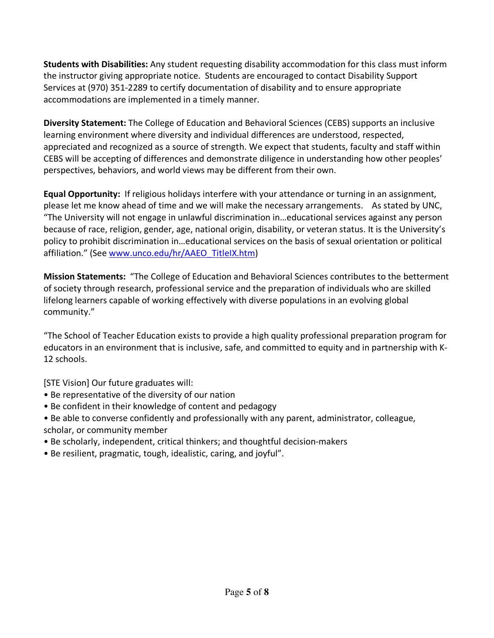**Students with Disabilities:** Any student requesting disability accommodation for this class must inform the instructor giving appropriate notice. Students are encouraged to contact Disability Support Services at (970) 351-2289 to certify documentation of disability and to ensure appropriate accommodations are implemented in a timely manner.

**Diversity Statement:** The College of Education and Behavioral Sciences (CEBS) supports an inclusive learning environment where diversity and individual differences are understood, respected, appreciated and recognized as a source of strength. We expect that students, faculty and staff within CEBS will be accepting of differences and demonstrate diligence in understanding how other peoples' perspectives, behaviors, and world views may be different from their own.

**Equal Opportunity:** If religious holidays interfere with your attendance or turning in an assignment, please let me know ahead of time and we will make the necessary arrangements. As stated by UNC, "The University will not engage in unlawful discrimination in…educational services against any person because of race, religion, gender, age, national origin, disability, or veteran status. It is the University's policy to prohibit discrimination in…educational services on the basis of sexual orientation or political affiliation." (See www.unco.edu/hr/AAEO\_TitleIX.htm)

**Mission Statements:** "The College of Education and Behavioral Sciences contributes to the betterment of society through research, professional service and the preparation of individuals who are skilled lifelong learners capable of working effectively with diverse populations in an evolving global community."

"The School of Teacher Education exists to provide a high quality professional preparation program for educators in an environment that is inclusive, safe, and committed to equity and in partnership with K-12 schools.

[STE Vision] Our future graduates will:

- Be representative of the diversity of our nation
- Be confident in their knowledge of content and pedagogy
- Be able to converse confidently and professionally with any parent, administrator, colleague, scholar, or community member
- Be scholarly, independent, critical thinkers; and thoughtful decision-makers
- Be resilient, pragmatic, tough, idealistic, caring, and joyful".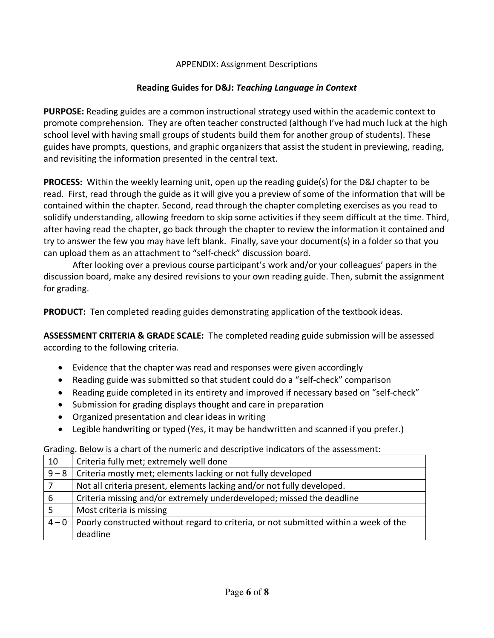### APPENDIX: Assignment Descriptions

### **Reading Guides for D&J:** *Teaching Language in Context*

**PURPOSE:** Reading guides are a common instructional strategy used within the academic context to promote comprehension. They are often teacher constructed (although I've had much luck at the high school level with having small groups of students build them for another group of students). These guides have prompts, questions, and graphic organizers that assist the student in previewing, reading, and revisiting the information presented in the central text.

**PROCESS:** Within the weekly learning unit, open up the reading guide(s) for the D&J chapter to be read. First, read through the guide as it will give you a preview of some of the information that will be contained within the chapter. Second, read through the chapter completing exercises as you read to solidify understanding, allowing freedom to skip some activities if they seem difficult at the time. Third, after having read the chapter, go back through the chapter to review the information it contained and try to answer the few you may have left blank. Finally, save your document(s) in a folder so that you can upload them as an attachment to "self-check" discussion board.

After looking over a previous course participant's work and/or your colleagues' papers in the discussion board, make any desired revisions to your own reading guide. Then, submit the assignment for grading.

**PRODUCT:** Ten completed reading guides demonstrating application of the textbook ideas.

**ASSESSMENT CRITERIA & GRADE SCALE:** The completed reading guide submission will be assessed according to the following criteria.

- Evidence that the chapter was read and responses were given accordingly
- Reading guide was submitted so that student could do a "self-check" comparison
- Reading guide completed in its entirety and improved if necessary based on "self-check"
- Submission for grading displays thought and care in preparation
- Organized presentation and clear ideas in writing
- Legible handwriting or typed (Yes, it may be handwritten and scanned if you prefer.)

Grading. Below is a chart of the numeric and descriptive indicators of the assessment:

| 10      | Criteria fully met; extremely well done                                              |
|---------|--------------------------------------------------------------------------------------|
| $9 - 8$ | Criteria mostly met; elements lacking or not fully developed                         |
|         | Not all criteria present, elements lacking and/or not fully developed.               |
| 6       | Criteria missing and/or extremely underdeveloped; missed the deadline                |
|         | Most criteria is missing                                                             |
| $4 - 0$ | Poorly constructed without regard to criteria, or not submitted within a week of the |
|         | deadline                                                                             |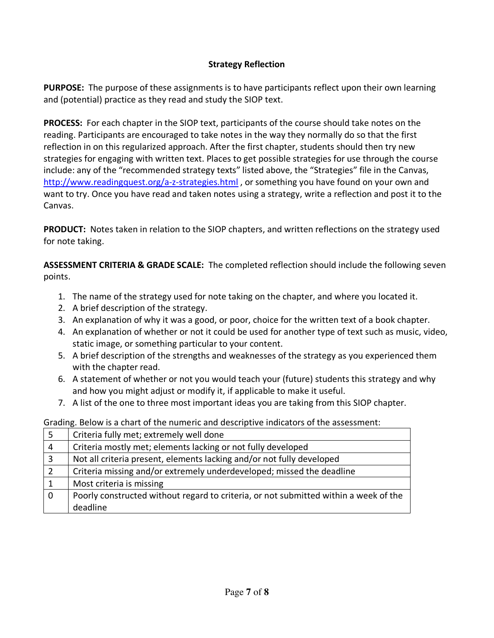# **Strategy Reflection**

**PURPOSE:** The purpose of these assignments is to have participants reflect upon their own learning and (potential) practice as they read and study the SIOP text.

**PROCESS:** For each chapter in the SIOP text, participants of the course should take notes on the reading. Participants are encouraged to take notes in the way they normally do so that the first reflection in on this regularized approach. After the first chapter, students should then try new strategies for engaging with written text. Places to get possible strategies for use through the course include: any of the "recommended strategy texts" listed above, the "Strategies" file in the Canvas, http://www.readingquest.org/a-z-strategies.html , or something you have found on your own and want to try. Once you have read and taken notes using a strategy, write a reflection and post it to the Canvas.

**PRODUCT:** Notes taken in relation to the SIOP chapters, and written reflections on the strategy used for note taking.

**ASSESSMENT CRITERIA & GRADE SCALE:** The completed reflection should include the following seven points.

- 1. The name of the strategy used for note taking on the chapter, and where you located it.
- 2. A brief description of the strategy.
- 3. An explanation of why it was a good, or poor, choice for the written text of a book chapter.
- 4. An explanation of whether or not it could be used for another type of text such as music, video, static image, or something particular to your content.
- 5. A brief description of the strengths and weaknesses of the strategy as you experienced them with the chapter read.
- 6. A statement of whether or not you would teach your (future) students this strategy and why and how you might adjust or modify it, if applicable to make it useful.
- 7. A list of the one to three most important ideas you are taking from this SIOP chapter.

Grading. Below is a chart of the numeric and descriptive indicators of the assessment:

| -5             | Criteria fully met; extremely well done                                              |
|----------------|--------------------------------------------------------------------------------------|
| $\overline{4}$ | Criteria mostly met; elements lacking or not fully developed                         |
| $\overline{3}$ | Not all criteria present, elements lacking and/or not fully developed                |
|                | Criteria missing and/or extremely underdeveloped; missed the deadline                |
|                | Most criteria is missing                                                             |
| $\mathbf 0$    | Poorly constructed without regard to criteria, or not submitted within a week of the |
|                | deadline                                                                             |